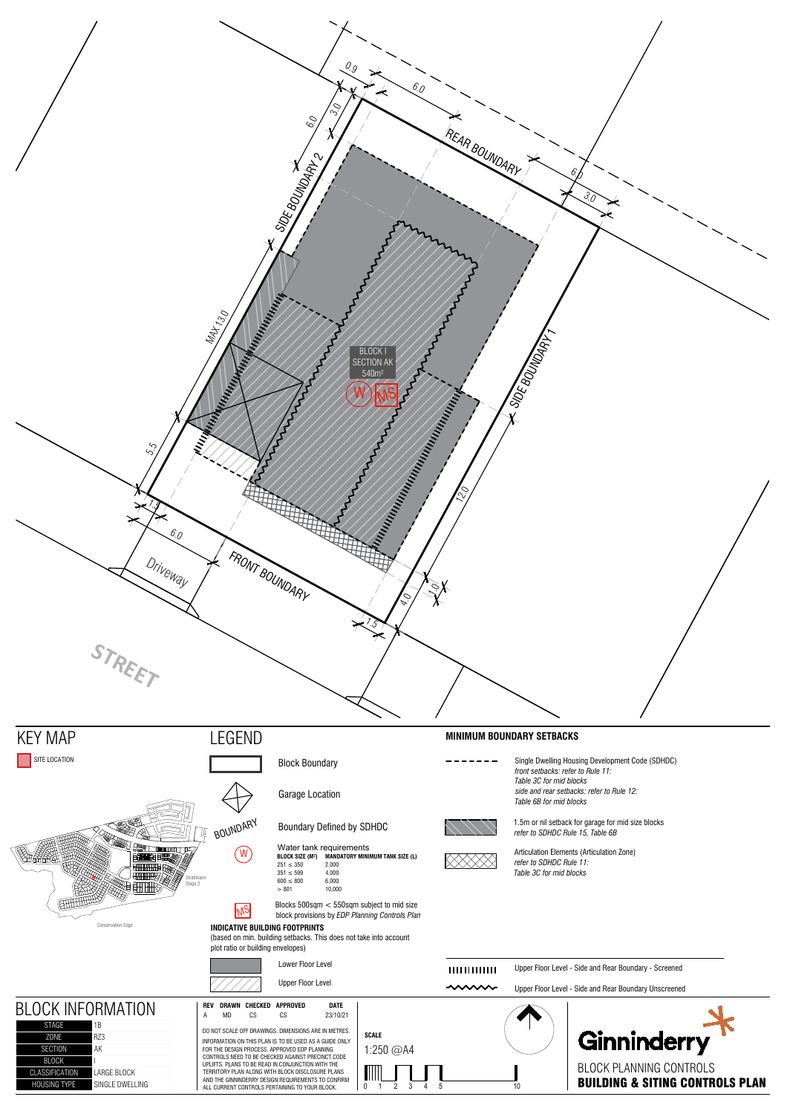